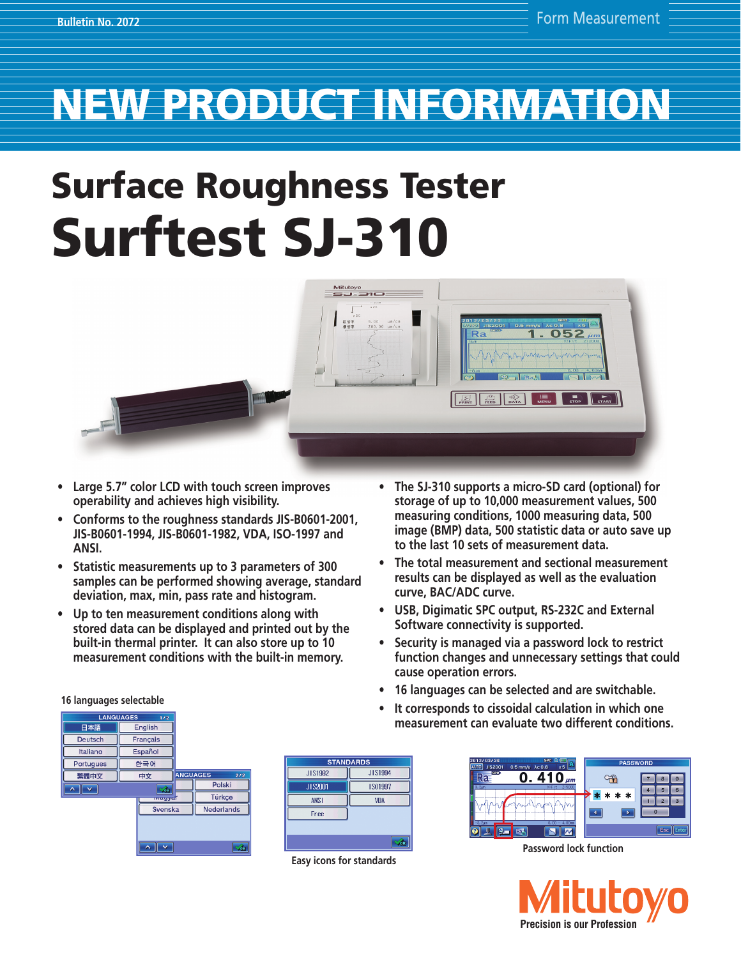## NEW PRODUCT INFORMATION

# Surface Roughness Tester Surftest SJ-310



- Large 5.7" color LCD with touch screen improves **operability and achieves high visibility.**
- **• Conforms to the roughness standards JIS-B0601-2001, JIS-B0601-1994, JIS-B0601-1982, VDA, ISO-1997 and ANSI.**
- **• Statistic measurements up to 3 parameters of 300 samples can be performed showing average, standard deviation, max, min, pass rate and histogram.**
- Up to ten measurement conditions along with **stored data can be displayed and printed out by the built-in thermal printer. It can also store up to 10 measurement conditions with the built-in memory.**
- **• The SJ-310 supports a micro-SD card (optional) for storage of up to 10,000 measurement values, 500 measuring conditions, 1000 measuring data, 500 image (BMP) data, 500 statistic data or auto save up to the last 10 sets of measurement data.**
- **• The total measurement and sectional measurement results can be displayed as well as the evaluation curve, BAC/ADC curve.**
- **• USB, Digimatic SPC output, RS-232C and External Software connectivity is supported.**
- **• Security is managed via a password lock to restrict function changes and unnecessary settings that could cause operation errors.**
- **• 16 languages can be selected and are switchable.**
- **• It corresponds to cissoidal calculation in which one measurement can evaluate two different conditions.**

| . <u>. .</u> <u>.</u> . |                  |                        |
|-------------------------|------------------|------------------------|
| <b>LANGUAGES</b>        |                  |                        |
| 日本語                     | English          |                        |
| Deutsch                 | Français         |                        |
| Italiano                | Español          |                        |
| <b>Portugues</b>        | 한국어              |                        |
| 繁體中文                    | 中文               | <b>ANGUAGES</b><br>2/2 |
|                         | 7an              | Polski                 |
|                         | <b>TVICKYYCK</b> | Türkce                 |
|                         | Svenska          | <b>Nederlands</b>      |
|                         |                  |                        |
|                         |                  |                        |

| <b>STANDARDS</b> |            |  |  |  |
|------------------|------------|--|--|--|
| JIS1982          | JIS1994    |  |  |  |
| JIS2001          | IS01997    |  |  |  |
| <b>ANSI</b>      | <b>VDA</b> |  |  |  |
| Free             |            |  |  |  |
|                  |            |  |  |  |
|                  | ok         |  |  |  |

**Easy icons for standards**



**Password lock function**



### **16 languages selectable**